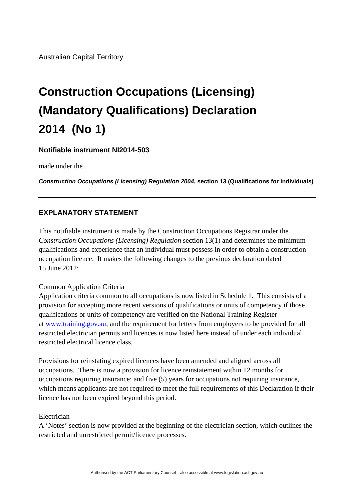# **Construction Occupations (Licensing) (Mandatory Qualifications) Declaration 2014 (No 1)**

## **Notifiable instrument NI2014-503**

made under the

*Construction Occupations (Licensing) Regulation 2004***, section 13 (Qualifications for individuals)**

## **EXPLANATORY STATEMENT**

This notifiable instrument is made by the Construction Occupations Registrar under the *Construction Occupations (Licensing) Regulation* section 13(1) and determines the minimum qualifications and experience that an individual must possess in order to obtain a construction occupation licence. It makes the following changes to the previous declaration dated 15 June 2012:

#### Common Application Criteria

Application criteria common to all occupations is now listed in Schedule 1. This consists of a provision for accepting more recent versions of qualifications or units of competency if those qualifications or units of competency are verified on the National Training Register at [www.training.gov.au;](http://www.training.gov.au/) and the requirement for letters from employers to be provided for all restricted electrician permits and licences is now listed here instead of under each individual restricted electrical licence class.

Provisions for reinstating expired licences have been amended and aligned across all occupations. There is now a provision for licence reinstatement within 12 months for occupations requiring insurance; and five (5) years for occupations not requiring insurance, which means applicants are not required to meet the full requirements of this Declaration if their licence has not been expired beyond this period.

#### Electrician

A 'Notes' section is now provided at the beginning of the electrician section, which outlines the restricted and unrestricted permit/licence processes.